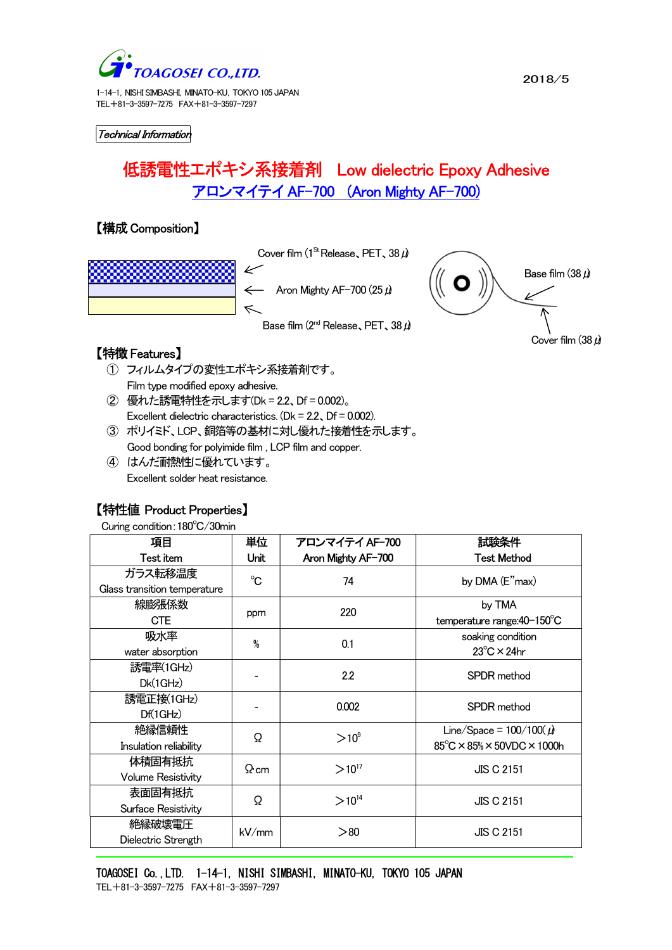

1-14-1, NISHI SIMBASHI, MINATO-KU, TOKYO 105 JAPAN TEL+81-3-3597-7275 FAX+81-3-3597-7297

Technical Information

# 低誘電性エポキシ系接着剤 Low dielectric Epoxy Adhesive アロンマイテイ AF-700 (Aron Mighty AF-700)

## 【構成Composition】



## 【特徴Features】

- ① フィルムタイプの変性エポキシ系接着剤です。 Film type modified epoxy adhesive.
- ② 優れた誘電特性を示します(Dk = 2.2、Df = 0.002)。 Excellent dielectric characteristics.  $(Dk = 2.2, Df = 0.002)$ .
- ③ ポリイミド、LCP、銅箔等の基材に対し優れた接着性を示します。 Good bonding for polyimide film , LCP film and copper.
- ④ はんだ耐熱性に優れています。 Excellent solder heat resistance.

### 【特性値 Product Properties】

Curing condition:180℃/30min

۳

| 項目                           | 単位          | アロンマイテイ AF-700     | 試験条件                                 |
|------------------------------|-------------|--------------------|--------------------------------------|
| Test item                    | Unit        | Aron Mighty AF-700 | <b>Test Method</b>                   |
| ガラス転移温度                      | $^{\circ}C$ | 74                 | by DMA (E"max)                       |
| Glass transition temperature |             |                    |                                      |
| 線膨張係数                        | ppm         | 220                | by TMA                               |
| <b>CTE</b>                   |             |                    | temperature range: 40-150°C          |
| 吸水率                          | %           | 0.1                | soaking condition                    |
| water absorption             |             |                    | $23^{\circ}$ C × 24hr                |
| 誘電率(1GHz)                    |             | 2.2                | SPDR method                          |
| DK(1GHz)                     |             |                    |                                      |
| 誘電正接(1GHz)                   |             | 0.002              | SPDR method                          |
| Df(1GHz)                     |             |                    |                                      |
| 絶縁信頼性                        | Ω           | $>10^9$            | Line/Space = $100/100(\mu)$          |
| Insulation reliability       |             |                    | $85^{\circ}$ C × 85% × 50VDC × 1000h |
| 体積固有抵抗                       | $\Omega$ cm | $>10^{17}$         | <b>JIS C 2151</b>                    |
| <b>Volume Resistivity</b>    |             |                    |                                      |
| 表面固有抵抗                       | Ω           | $>10^{14}$         | <b>JIS C 2151</b>                    |
| Surface Resistivity          |             |                    |                                      |
| 絶縁破壊電圧                       | kV/mm       | > 80               | <b>JIS C 2151</b>                    |
| Dielectric Strength          |             |                    |                                      |

TOAGOSEI Co., LTD. 1-14-1, NISHI SIMBASHI, MINATO-KU, TOKYO 105 JAPAN TEL+81-3-3597-7275 FAX+81-3-3597-7297